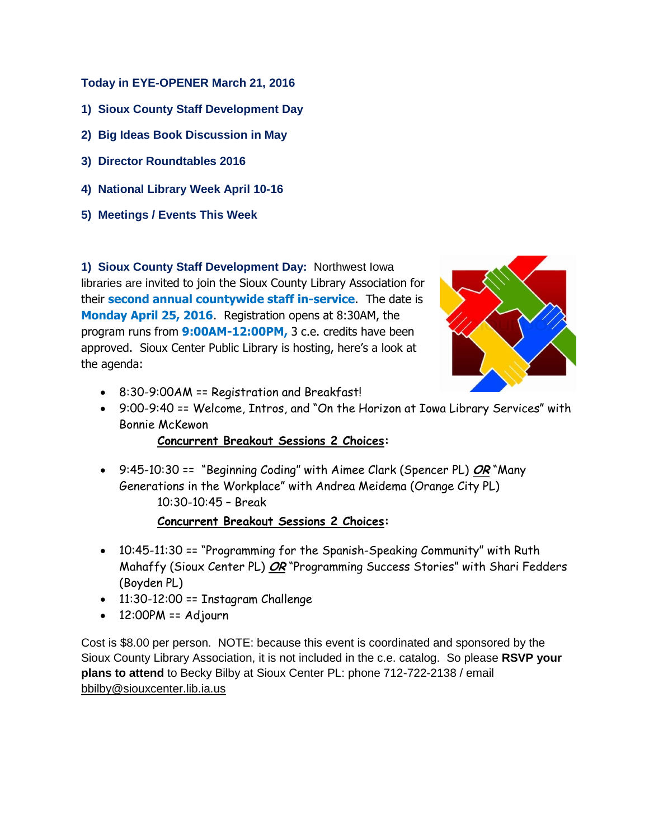## **Today in EYE-OPENER March 21, 2016**

- **1) Sioux County Staff Development Day**
- **2) Big Ideas Book Discussion in May**
- **3) Director Roundtables 2016**
- **4) National Library Week April 10-16**
- **5) Meetings / Events This Week**

**1) Sioux County Staff Development Day:** Northwest Iowa libraries are invited to join the Sioux County Library Association for their **second annual countywide staff in-service**. The date is **Monday April 25, 2016**. Registration opens at 8:30AM, the program runs from **9:00AM-12:00PM,** 3 c.e. credits have been approved. Sioux Center Public Library is hosting, here's a look at the agenda:



- 8:30-9:00AM == Registration and Breakfast!
- 9:00-9:40 == Welcome, Intros, and "On the Horizon at Iowa Library Services" with Bonnie McKewon

## **Concurrent Breakout Sessions 2 Choices:**

 9:45-10:30 == "Beginning Coding" with Aimee Clark (Spencer PL) **OR** "Many Generations in the Workplace" with Andrea Meidema (Orange City PL) 10:30-10:45 – Break

## **Concurrent Breakout Sessions 2 Choices:**

- 10:45-11:30 == "Programming for the Spanish-Speaking Community" with Ruth Mahaffy (Sioux Center PL) **OR** "Programming Success Stories" with Shari Fedders (Boyden PL)
- 11:30-12:00 == Instagram Challenge
- $\bullet$  12:00PM == Adjourn

Cost is \$8.00 per person. NOTE: because this event is coordinated and sponsored by the Sioux County Library Association, it is not included in the c.e. catalog. So please **RSVP your plans to attend** to Becky Bilby at Sioux Center PL: phone 712-722-2138 / email [bbilby@siouxcenter.lib.ia.us](mailto:bbilby@siouxcenter.lib.ia.us)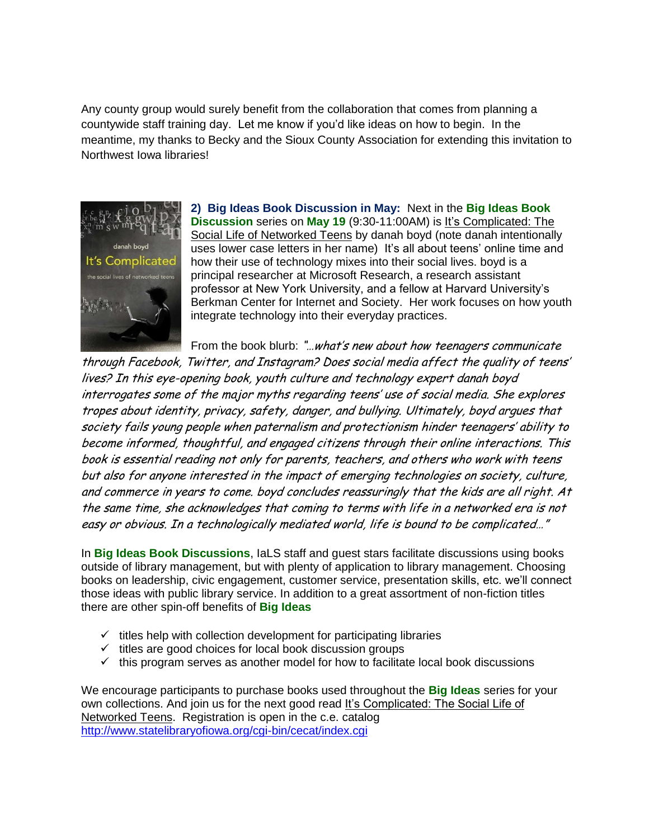Any county group would surely benefit from the collaboration that comes from planning a countywide staff training day. Let me know if you'd like ideas on how to begin. In the meantime, my thanks to Becky and the Sioux County Association for extending this invitation to Northwest Iowa libraries!



**2) Big Ideas Book Discussion in May:** Next in the **Big Ideas Book Discussion** series on **May 19** (9:30-11:00AM) is It's Complicated: The Social Life of Networked Teens by danah boyd (note danah intentionally uses lower case letters in her name) It's all about teens' online time and how their use of technology mixes into their social lives. boyd is a principal researcher at Microsoft Research, a research assistant professor at New York University, and a fellow at Harvard University's Berkman Center for Internet and Society. Her work focuses on how youth integrate technology into their everyday practices.

From the book blurb: "...what's new about how teenagers communicate

through Facebook, Twitter, and Instagram? Does social media affect the quality of teens' lives? In this eye-opening book, youth culture and technology expert danah boyd interrogates some of the major myths regarding teens' use of social media. She explores tropes about identity, privacy, safety, danger, and bullying. Ultimately, boyd argues that society fails young people when paternalism and protectionism hinder teenagers' ability to become informed, thoughtful, and engaged citizens through their online interactions. This book is essential reading not only for parents, teachers, and others who work with teens but also for anyone interested in the impact of emerging technologies on society, culture, and commerce in years to come. boyd concludes reassuringly that the kids are all right. At the same time, she acknowledges that coming to terms with life in a networked era is not easy or obvious. In a technologically mediated world, life is bound to be complicated…"

In **Big Ideas Book Discussions**, IaLS staff and guest stars facilitate discussions using books outside of library management, but with plenty of application to library management. Choosing books on leadership, civic engagement, customer service, presentation skills, etc. we'll connect those ideas with public library service. In addition to a great assortment of non-fiction titles there are other spin-off benefits of **Big Ideas**

- $\checkmark$  titles help with collection development for participating libraries
- $\checkmark$  titles are good choices for local book discussion groups
- $\checkmark$  this program serves as another model for how to facilitate local book discussions

We encourage participants to purchase books used throughout the **Big Ideas** series for your own collections. And join us for the next good read It's Complicated: The Social Life of Networked Teens. Registration is open in the c.e. catalog <http://www.statelibraryofiowa.org/cgi-bin/cecat/index.cgi>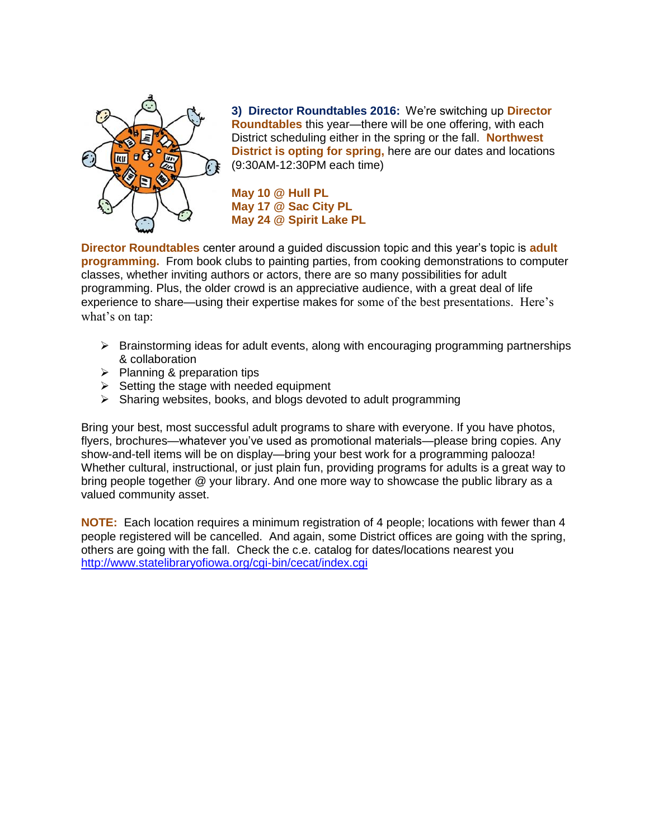

**3) Director Roundtables 2016:** We're switching up **Director Roundtables** this year—there will be one offering, with each District scheduling either in the spring or the fall. **Northwest District is opting for spring,** here are our dates and locations (9:30AM-12:30PM each time)

**May 10 @ Hull PL May 17 @ Sac City PL May 24 @ Spirit Lake PL**

**Director Roundtables** center around a guided discussion topic and this year's topic is **adult programming.** From book clubs to painting parties, from cooking demonstrations to computer classes, whether inviting authors or actors, there are so many possibilities for adult programming. Plus, the older crowd is an appreciative audience, with a great deal of life experience to share—using their expertise makes for some of the best presentations. Here's what's on tap:

- $\triangleright$  Brainstorming ideas for adult events, along with encouraging programming partnerships & collaboration
- $\triangleright$  Planning & preparation tips
- $\triangleright$  Setting the stage with needed equipment
- $\triangleright$  Sharing websites, books, and blogs devoted to adult programming

Bring your best, most successful adult programs to share with everyone. If you have photos, flyers, brochures—whatever you've used as promotional materials—please bring copies. Any show-and-tell items will be on display—bring your best work for a programming palooza! Whether cultural, instructional, or just plain fun, providing programs for adults is a great way to bring people together @ your library. And one more way to showcase the public library as a valued community asset.

**NOTE:** Each location requires a minimum registration of 4 people; locations with fewer than 4 people registered will be cancelled. And again, some District offices are going with the spring, others are going with the fall. Check the c.e. catalog for dates/locations nearest you <http://www.statelibraryofiowa.org/cgi-bin/cecat/index.cgi>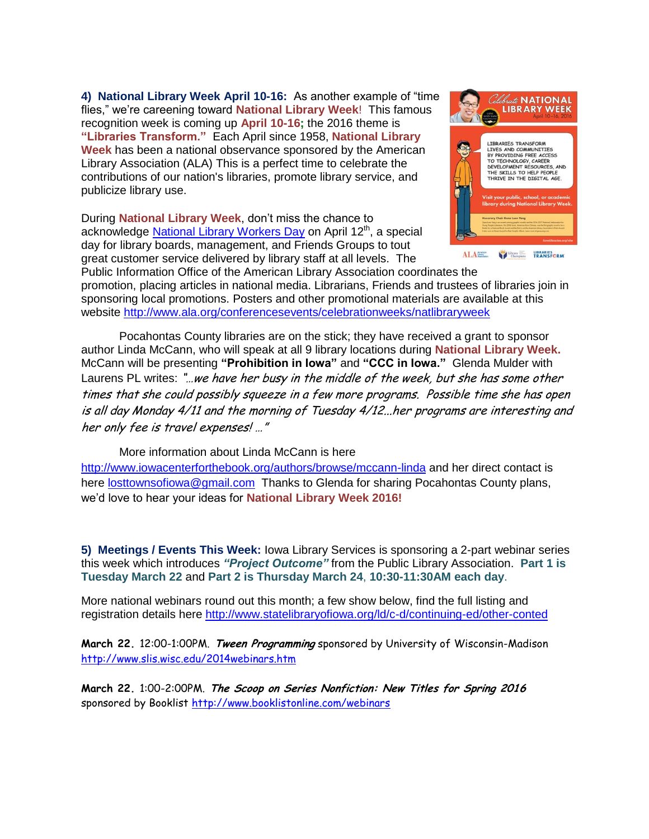**4) National Library Week April 10-16:** As another example of "time flies," we're careening toward **National Library Week**! This famous recognition week is coming up **April 10-16;** the 2016 theme is **"Libraries Transform."** Each April since 1958, **National Library Week** has been a national observance sponsored by the American Library Association (ALA) This is a perfect time to celebrate the contributions of our nation's libraries, promote library service, and publicize library use.

During **National Library Week**, don't miss the chance to acknowledge [National Library Workers Day](http://ala-apa.org/nlwd/) on April 12<sup>th</sup>, a special day for library boards, management, and Friends Groups to tout great customer service delivered by library staff at all levels. The



Public Information Office of the American Library Association coordinates the promotion, placing articles in national media. Librarians, Friends and trustees of libraries join in sponsoring local promotions. Posters and other promotional materials are available at this website<http://www.ala.org/conferencesevents/celebrationweeks/natlibraryweek>

Pocahontas County libraries are on the stick; they have received a grant to sponsor author Linda McCann, who will speak at all 9 library locations during **National Library Week.** McCann will be presenting **"Prohibition in Iowa"** and **"CCC in Iowa."** Glenda Mulder with Laurens PL writes: "...we have her busy in the middle of the week, but she has some other times that she could possibly squeeze in a few more programs. Possible time she has open is all day Monday 4/11 and the morning of Tuesday 4/12...her programs are interesting and her only fee is travel expenses! …"

More information about Linda McCann is here

<http://www.iowacenterforthebook.org/authors/browse/mccann-linda> and her direct contact is here [losttownsofiowa@gmail.com](mailto:losttownsofiowa@gmail.com) Thanks to Glenda for sharing Pocahontas County plans, we'd love to hear your ideas for **National Library Week 2016!**

**5) Meetings / Events This Week:** Iowa Library Services is sponsoring a 2-part webinar series this week which introduces *"Project Outcome"* from the Public Library Association. **Part 1 is Tuesday March 22** and **Part 2 is Thursday March 24**, **10:30-11:30AM each day**.

More national webinars round out this month; a few show below, find the full listing and registration details here<http://www.statelibraryofiowa.org/ld/c-d/continuing-ed/other-conted>

**March 22.** 12:00-1:00PM. **Tween Programming** sponsored by University of Wisconsin-Madison <http://www.slis.wisc.edu/2014webinars.htm>

**March 22.** 1:00-2:00PM. **The Scoop on Series Nonfiction: New Titles for Spring 2016** sponsored by Booklist <http://www.booklistonline.com/webinars>